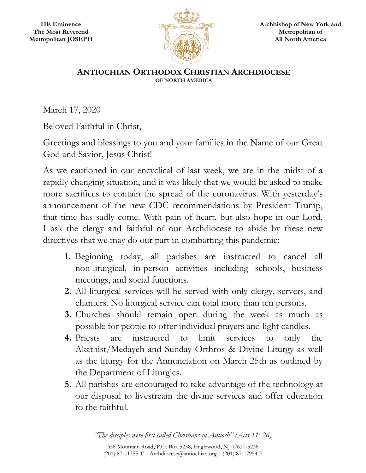

## **ANTIOCHIAN ORTHODOX CHRISTIAN ARCHDIOCESE OF NORTH AMERICA**

March 17, 2020

Beloved Faithful in Christ,

Greetings and blessings to you and your families in the Name of our Great God and Savior, Jesus Christ!

As we cautioned in our encyclical of last week, we are in the midst of a rapidly changing situation, and it was likely that we would be asked to make more sacrifices to contain the spread of the coronavirus. With yesterday's announcement of the new CDC recommendations by President Trump, that time has sadly come. With pain of heart, but also hope in our Lord, I ask the clergy and faithful of our Archdiocese to abide by these new directives that we may do our part in combatting this pandemic:

- **1.** Beginning today, all parishes are instructed to cancel all non-liturgical, in-person activities including schools, business meetings, and social functions.
- **2.** All liturgical services will be served with only clergy, servers, and chanters. No liturgical service can total more than ten persons.
- **3.** Churches should remain open during the week as much as possible for people to offer individual prayers and light candles.
- **4.** Priests are instructed to limit services to only the Akathist/Medayeh and Sunday Orthros & Divine Liturgy as well as the liturgy for the Annunciation on March 25th as outlined by the Department of Liturgics.
- **5.** All parishes are encouraged to take advantage of the technology at our disposal to livestream the divine services and offer education to the faithful.

*"The disciples were first called Christians in Antioch" (Acts 11: 26)*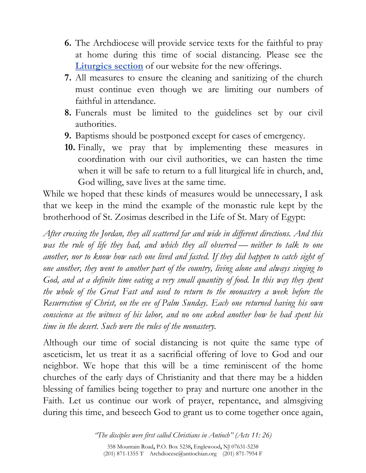- **6.** The Archdiocese will provide service texts for the faithful to pray at home during this time of social distancing. Please see the **Liturgics section** of our website for the new offerings.
- **7.** All measures to ensure the cleaning and sanitizing of the church must continue even though we are limiting our numbers of faithful in attendance.
- **8.** Funerals must be limited to the guidelines set by our civil authorities.
- **9.** Baptisms should be postponed except for cases of emergency.
- **10.** Finally, we pray that by implementing these measures in coordination with our civil authorities, we can hasten the time when it will be safe to return to a full liturgical life in church, and, God willing, save lives at the same time.

While we hoped that these kinds of measures would be unnecessary, I ask that we keep in the mind the example of the monastic rule kept by the brotherhood of St. Zosimas described in the Life of St. Mary of Egypt:

*After crossing the Jordan, they all scattered far and wide in different directions. And this was the rule of life they had, and which they all observed — neither to talk to one another, nor to know how each one lived and fasted. If they did happen to catch sight of one another, they went to another part of the country, living alone and always singing to*  God, and at a definite time eating a very small quantity of food. In this way they spent *the whole of the Great Fast and used to return to the monastery a week before the Resurrection of Christ, on the eve of Palm Sunday. Each one returned having his own conscience as the witness of his labor, and no one asked another how he had spent his time in the desert. Such were the rules of the monastery.* 

Although our time of social distancing is not quite the same type of asceticism, let us treat it as a sacrificial offering of love to God and our neighbor. We hope that this will be a time reminiscent of the home churches of the early days of Christianity and that there may be a hidden blessing of families being together to pray and nurture one another in the Faith. Let us continue our work of prayer, repentance, and almsgiving during this time, and beseech God to grant us to come together once again,

> *"The disciples were first called Christians in Antioch" (Acts 11: 26)*  358 Mountain Road**,** P.O. Box 5238**,** Englewood**,** NJ 07631-5238 (201) 871-1355 T Archdiocese@antiochian.org (201) 871-7954 F